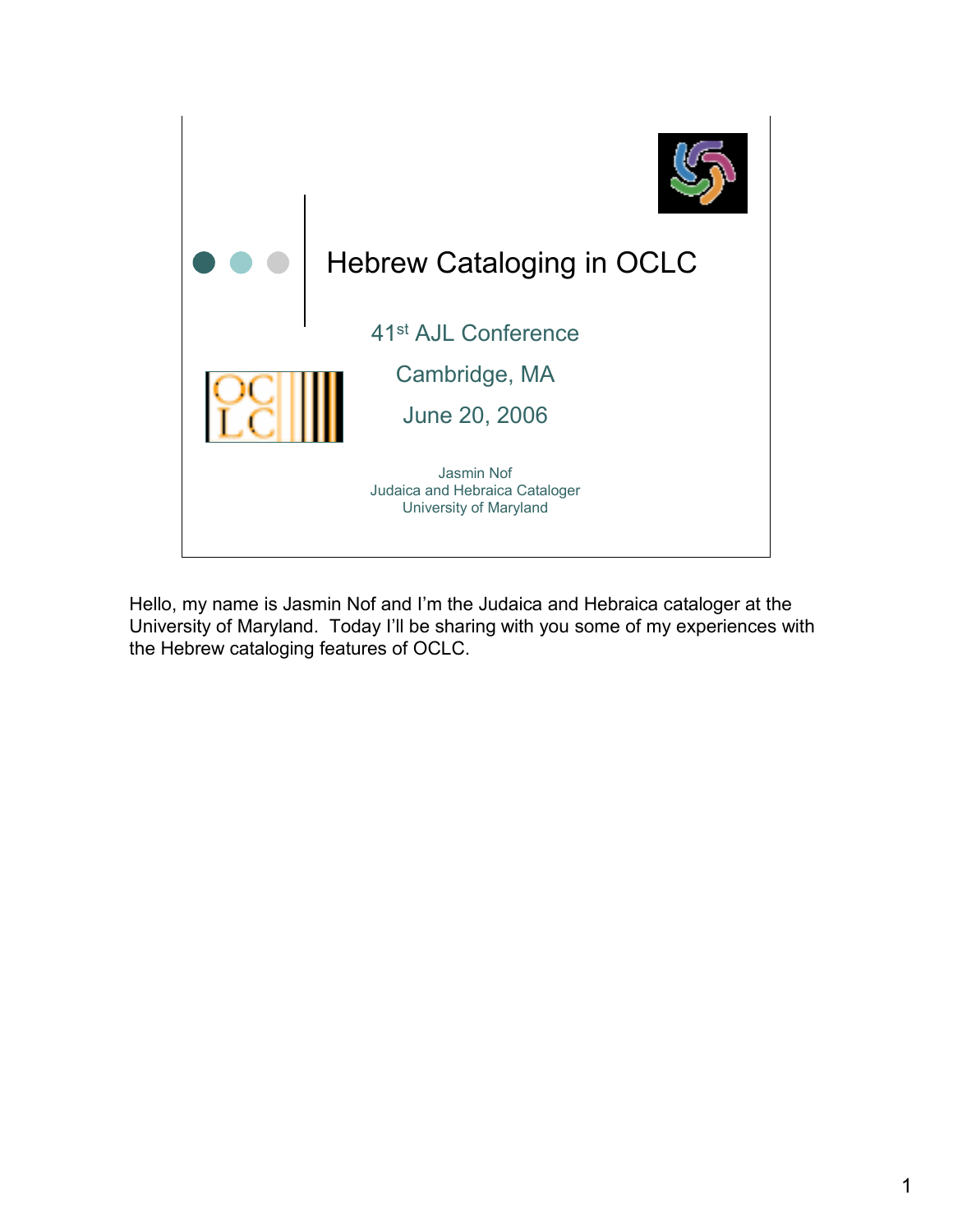

Hello, my name is Jasmin Nof and I'm the Judaica and Hebraica cataloger at the University of Maryland. Today I'll be sharing with you some of my experiences with the Hebrew cataloging features of OCLC.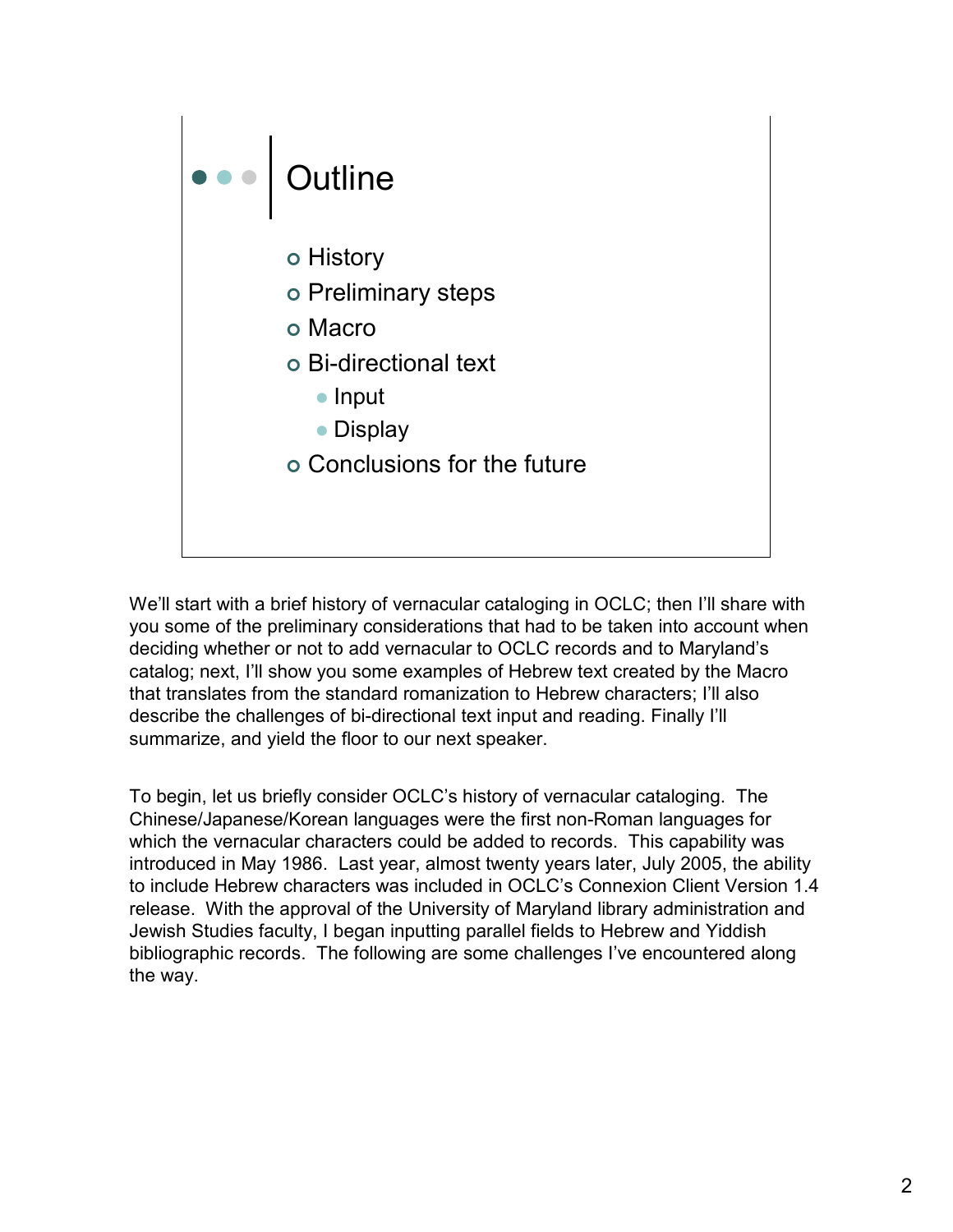

We'll start with a brief history of vernacular cataloging in OCLC; then I'll share with you some of the preliminary considerations that had to be taken into account when deciding whether or not to add vernacular to OCLC records and to Maryland's catalog; next, I'll show you some examples of Hebrew text created by the Macro that translates from the standard romanization to Hebrew characters; I'll also describe the challenges of bi-directional text input and reading. Finally I'll summarize, and yield the floor to our next speaker.

To begin, let us briefly consider OCLC's history of vernacular cataloging. The Chinese/Japanese/Korean languages were the first non-Roman languages for which the vernacular characters could be added to records. This capability was introduced in May 1986. Last year, almost twenty years later, July 2005, the ability to include Hebrew characters was included in OCLC's Connexion Client Version 1.4 release. With the approval of the University of Maryland library administration and Jewish Studies faculty, I began inputting parallel fields to Hebrew and Yiddish bibliographic records. The following are some challenges I've encountered along the way.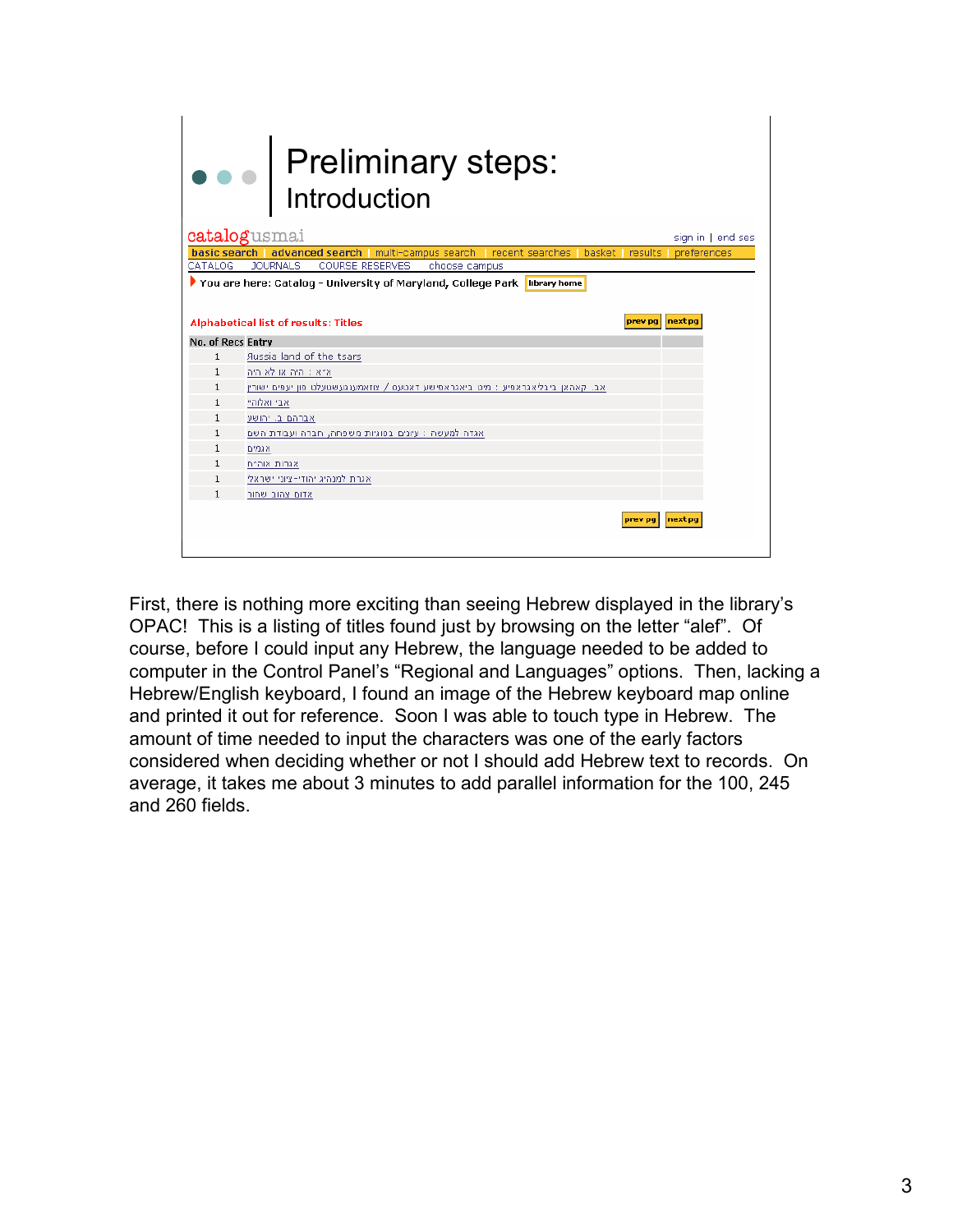| • Preliminary steps:<br>Introduction                                                                                                         |                                                                                 |                |                   |  |  |  |  |
|----------------------------------------------------------------------------------------------------------------------------------------------|---------------------------------------------------------------------------------|----------------|-------------------|--|--|--|--|
|                                                                                                                                              | catalogusmai                                                                    |                | sign in   end ses |  |  |  |  |
|                                                                                                                                              | basic search   advanced search   multi-campus search   recent searches          | basket results | preferences       |  |  |  |  |
| CATALOG                                                                                                                                      | <b>JOURNALS</b><br>COURSE RESERVES<br>choose campus                             |                |                   |  |  |  |  |
| ▶ You are here: Catalog - University of Maryland, College Park<br>library home<br>Alphabetical list of results: Titles<br>prev pa<br>next po |                                                                                 |                |                   |  |  |  |  |
| No. of Recs Entry                                                                                                                            |                                                                                 |                |                   |  |  |  |  |
| $\mathbf{1}$                                                                                                                                 | <b>Aussia land of the tsars</b>                                                 |                |                   |  |  |  |  |
| $\mathbf{1}$                                                                                                                                 | א״א : היה או לא היה                                                             |                |                   |  |  |  |  |
| $\mathbf{1}$                                                                                                                                 | אב. קאהאן ביבליאגראפיע : מיט ביאגראפישע דאטעס / צוזאמענגעשטעלט פון יעפים ישורין |                |                   |  |  |  |  |
| $\mathbf{1}$                                                                                                                                 | אבי ואלוהיי                                                                     |                |                   |  |  |  |  |
| 1                                                                                                                                            | אברהם ב. יהושע                                                                  |                |                   |  |  |  |  |
| $\mathbf{1}$                                                                                                                                 | אגדה למעשה : עיונים בסוגיות משפחה, חברה ועבודת השם                              |                |                   |  |  |  |  |
| $\mathbf{1}$                                                                                                                                 | אגמים                                                                           |                |                   |  |  |  |  |
| 1                                                                                                                                            | אגרות אוה״ח                                                                     |                |                   |  |  |  |  |
| $\mathbf{1}$                                                                                                                                 | אגרת למנהיג יהודי-ציוני ישראלי                                                  |                |                   |  |  |  |  |
| 1                                                                                                                                            | אדום צהוב שחור                                                                  |                |                   |  |  |  |  |
|                                                                                                                                              |                                                                                 | prev pa        | next pg           |  |  |  |  |

First, there is nothing more exciting than seeing Hebrew displayed in the library's OPAC! This is a listing of titles found just by browsing on the letter "alef". Of course, before I could input any Hebrew, the language needed to be added to computer in the Control Panel's "Regional and Languages" options. Then, lacking a Hebrew/English keyboard, I found an image of the Hebrew keyboard map online and printed it out for reference. Soon I was able to touch type in Hebrew. The amount of time needed to input the characters was one of the early factors considered when deciding whether or not I should add Hebrew text to records. On average, it takes me about 3 minutes to add parallel information for the 100, 245 and 260 fields.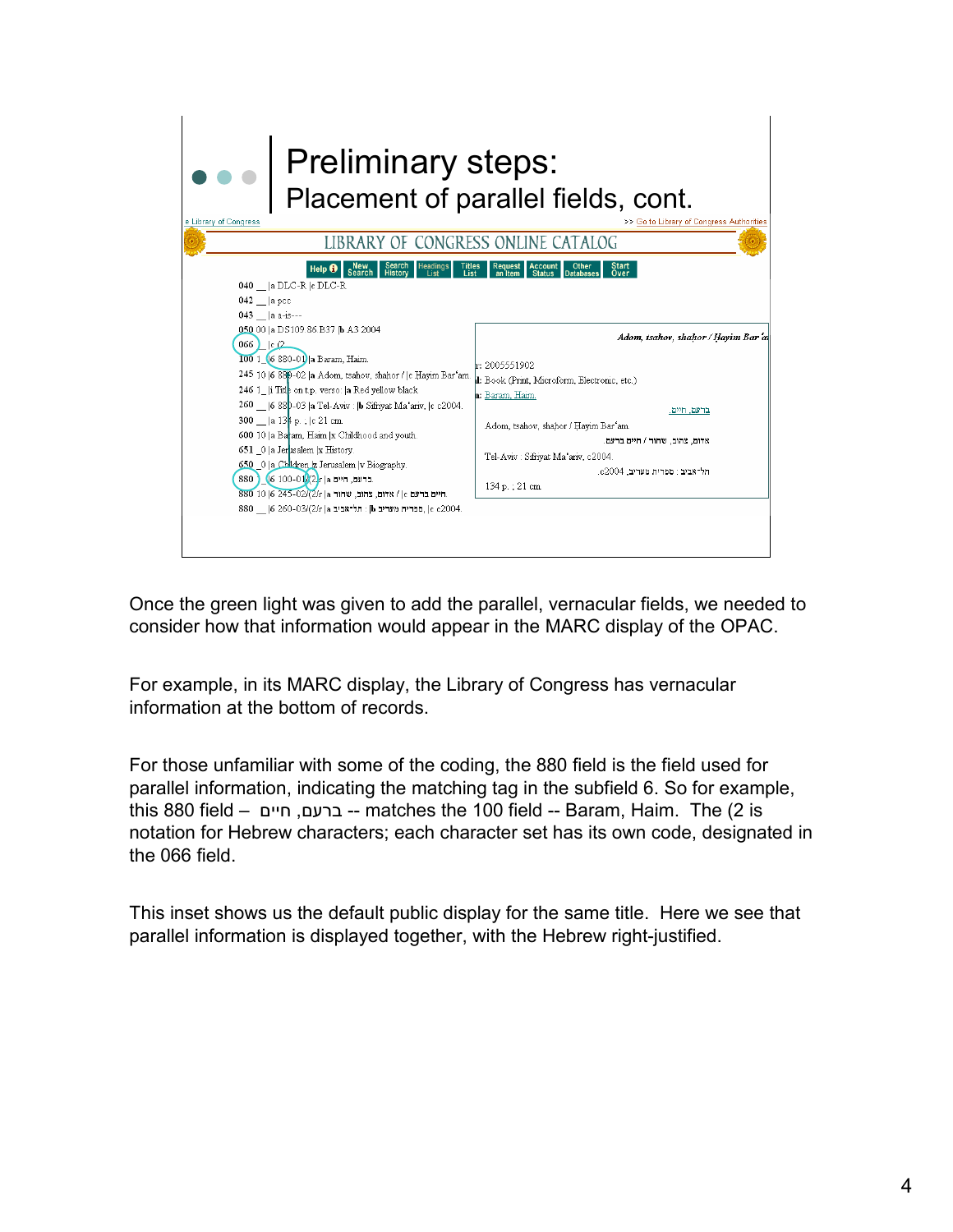

Once the green light was given to add the parallel, vernacular fields, we needed to consider how that information would appear in the MARC display of the OPAC.

For example, in its MARC display, the Library of Congress has vernacular information at the bottom of records.

For those unfamiliar with some of the coding, the 880 field is the field used for parallel information, indicating the matching tag in the subfield 6. So for example, this 880 field – ברעם ים חי -- matches the 100 field -- Baram, Haim. The ( , 2 is notation for Hebrew characters; each character set has its own code, designated in the 066 field.

This inset shows us the default public display for the same title. Here we see that parallel information is displayed together, with the Hebrew right-justified.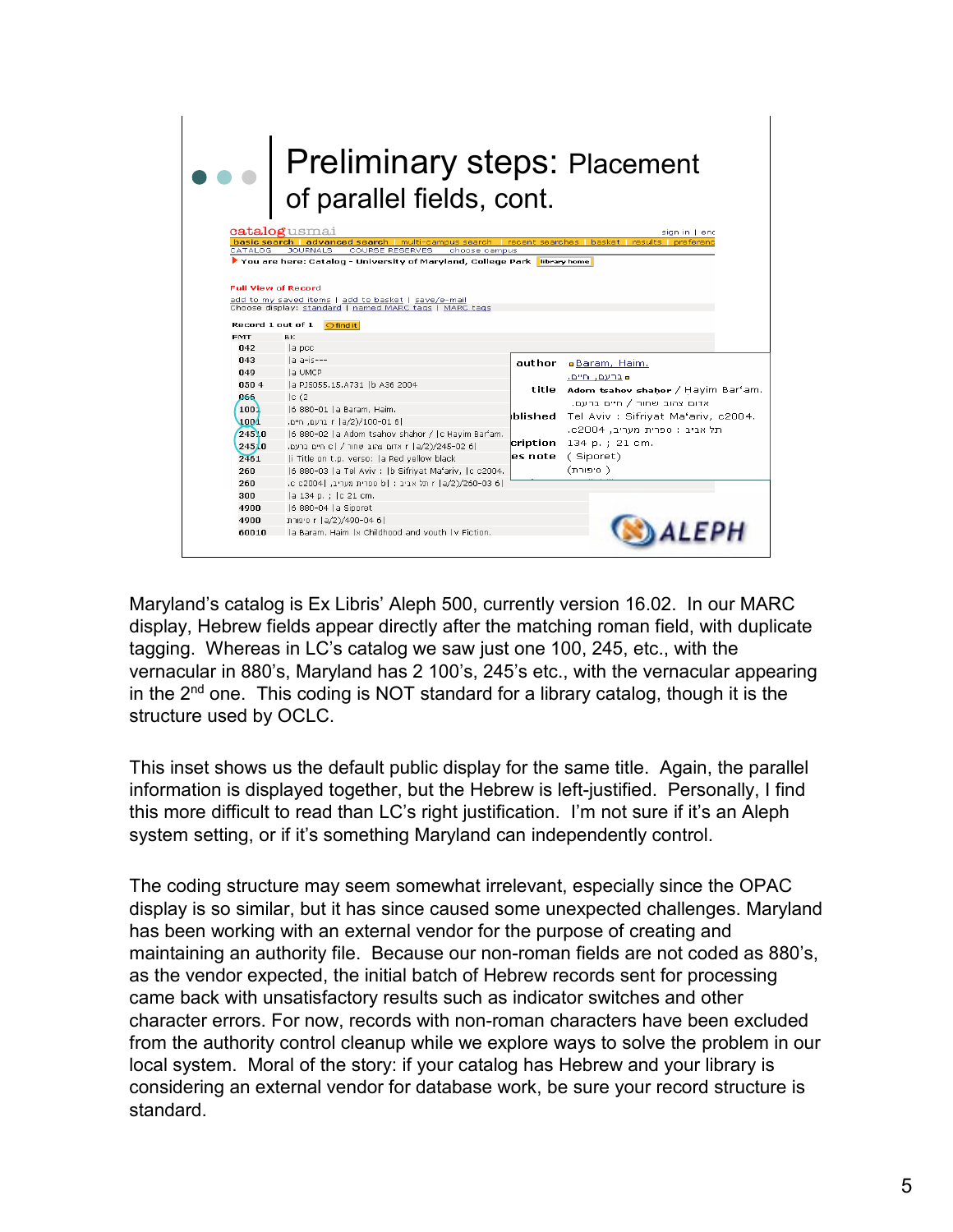|                                                 | Preliminary steps: Placement<br>of parallel fields, cont.                                                                                                           |        |                                             |
|-------------------------------------------------|---------------------------------------------------------------------------------------------------------------------------------------------------------------------|--------|---------------------------------------------|
|                                                 | catalogusmai                                                                                                                                                        |        | sign in 1 enc                               |
| CATALOG                                         | basic search   advanced search   multi-campus search   recent searches   basket   results   preferenc<br><b>COURSE RESERVES</b><br><b>JOURNALS</b><br>choose campus |        |                                             |
| <b>Full View of Record</b><br>Record 1 out of 1 | add to my saved items   add to basket   save/e-mail<br>Choose display: standard   named MARC tags   MARC tags<br><b>G</b> find it                                   |        |                                             |
| <b>EMT</b>                                      | <b>BK</b>                                                                                                                                                           |        |                                             |
| 042                                             | la poc                                                                                                                                                              |        |                                             |
| 043                                             | la a-is---                                                                                                                                                          | author | Baram, Haim.                                |
| $\mathbf{0}4\mathbf{9}$                         | la UMCP                                                                                                                                                             |        | ■ברעם, חיים.                                |
| 0504                                            | a PJ5055.15.A731  b A36 2004                                                                                                                                        |        | title Adom tsahov shahor / Hayim Bar'am.    |
| 066                                             | c(2)                                                                                                                                                                |        | אדום צהוב שחור / חיים ברעם.                 |
| 1001                                            | 6 880-01  a Baram, Haim.                                                                                                                                            |        | blished Tel Aviv : Sifriyat Ma'ariv, c2004. |
| 1004                                            | r la/2)/100-01 61 ברעם. חיים.                                                                                                                                       |        | תל אביב: ספרית מעריב, c2004.                |
| 24510                                           | 6 880-02  a Adom tsahov shahor /  c Hayim Bar'am.                                                                                                                   |        |                                             |
| 24510                                           | r  a/2)/245-02 6  אדום צהוב שחור / c   חיים ברעם.                                                                                                                   |        | cription 134 p. ; 21 cm.                    |
| 7461                                            | i Title on t.p. verso:  a Red yellow black                                                                                                                          |        | es note (Siporet)                           |
| 260                                             | 6 880-03  a Tel Aviv :  b Sifriyat Ma'ariv,  c c2004.                                                                                                               |        | ( סיפורת)                                   |
| 260                                             | r  a/2)/260-03 6. מל אביב: b  ספרית מעריב, c c2004 .                                                                                                                |        |                                             |
| 300                                             | a 134 p. ;  c 21 cm.                                                                                                                                                |        |                                             |
| 4900                                            | 6 880-04  a Siporet                                                                                                                                                 |        |                                             |
| 4900                                            | o r  a/2)/490-04 6                                                                                                                                                  |        |                                             |
| 60010                                           | Ia Baram, Haim Ix Childhood and vouth Iv Fiction.                                                                                                                   |        |                                             |

Maryland's catalog is Ex Libris' Aleph 500, currently version 16.02. In our MARC display, Hebrew fields appear directly after the matching roman field, with duplicate tagging. Whereas in LC's catalog we saw just one 100, 245, etc., with the vernacular in 880's, Maryland has 2 100's, 245's etc., with the vernacular appearing in the 2nd one. This coding is NOT standard for a library catalog, though it is the structure used by OCLC.

This inset shows us the default public display for the same title. Again, the parallel information is displayed together, but the Hebrew is left-justified. Personally, I find this more difficult to read than LC's right justification. I'm not sure if it's an Aleph system setting, or if it's something Maryland can independently control.

The coding structure may seem somewhat irrelevant, especially since the OPAC display is so similar, but it has since caused some unexpected challenges. Maryland has been working with an external vendor for the purpose of creating and maintaining an authority file. Because our non-roman fields are not coded as 880's, as the vendor expected, the initial batch of Hebrew records sent for processing came back with unsatisfactory results such as indicator switches and other character errors. For now, records with non-roman characters have been excluded from the authority control cleanup while we explore ways to solve the problem in our local system. Moral of the story: if your catalog has Hebrew and your library is considering an external vendor for database work, be sure your record structure is standard.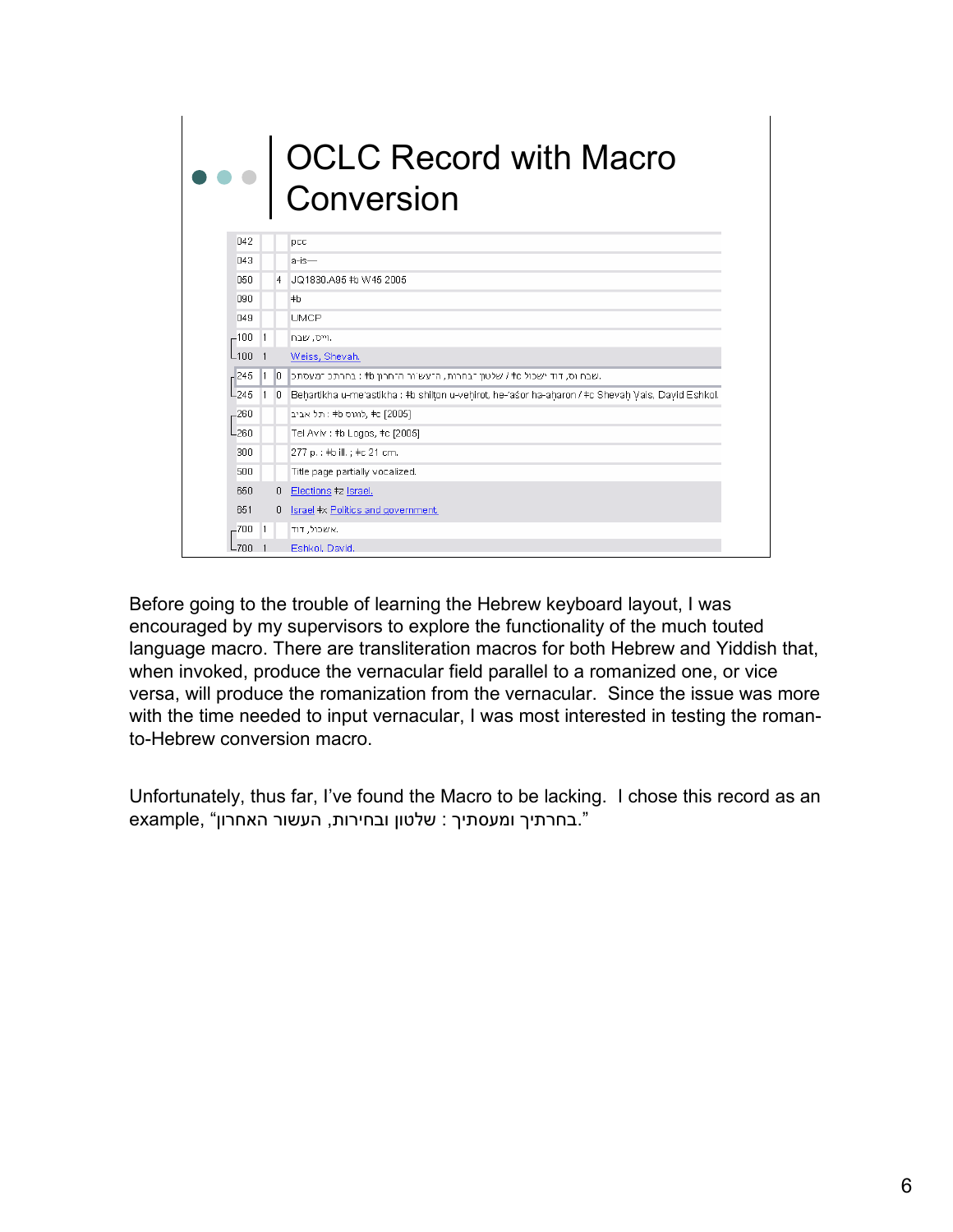# OCLC Record with Macro Conversion

| 042              |                |                | pcc                                                                                                |
|------------------|----------------|----------------|----------------------------------------------------------------------------------------------------|
| 043              |                |                | a-is—                                                                                              |
| 050              |                | $\overline{4}$ | JQ1830.A95 #b W45 2005                                                                             |
| 090              |                |                | $+b$                                                                                               |
| 049              |                |                | <b>UMCP</b>                                                                                        |
| $-100$           | $\mathbf{1}$   |                | וייס, שבח                                                                                          |
| L100             |                |                | Weiss, Shevah.                                                                                     |
| $-245$           | 11.            | $\mathbb{I}^0$ | .שבח וס, דוד ישכול te / שלטון הבחרות, ההעש`ור ההחרון tb : בחרתכ המעסתכ                             |
| L <sub>245</sub> | $\overline{1}$ | $\theta$       | Behartikha u-me'astikha : #b shilton u-vehirot, he-'aśor ha-aḥaron / #c Shevaḥ Vais, David Eshkol. |
| $-260$           |                |                | , #c [2005] לוגוס tb : תל אביב                                                                     |
| -260             |                |                | Tel Aviv : #b Logos, #c [2005]                                                                     |
| 300              |                |                | 277 p. : #b ill. ; #c 21 cm.                                                                       |
| 500              |                |                | Title page partially vocalized.                                                                    |
| 650              |                | 0              | Elections #z Israel.                                                                               |
| 651              |                | 0              | Israel #x Politics and government.                                                                 |
| -700             | $\overline{1}$ |                | אשכול, דוד.                                                                                        |
| -700             |                |                | Eshkol, David,                                                                                     |

Before going to the trouble of learning the Hebrew keyboard layout, I was encouraged by my supervisors to explore the functionality of the much touted language macro. There are transliteration macros for both Hebrew and Yiddish that, when invoked, produce the vernacular field parallel to a romanized one, or vice versa, will produce the romanization from the vernacular. Since the issue was more with the time needed to input vernacular, I was most interested in testing the romanto-Hebrew conversion macro.

Unfortunately, thus far, I've found the Macro to be lacking. I chose this record as an example, "בחרתיך ומעסתיך: שלטון ובחירות, העשור האחרון".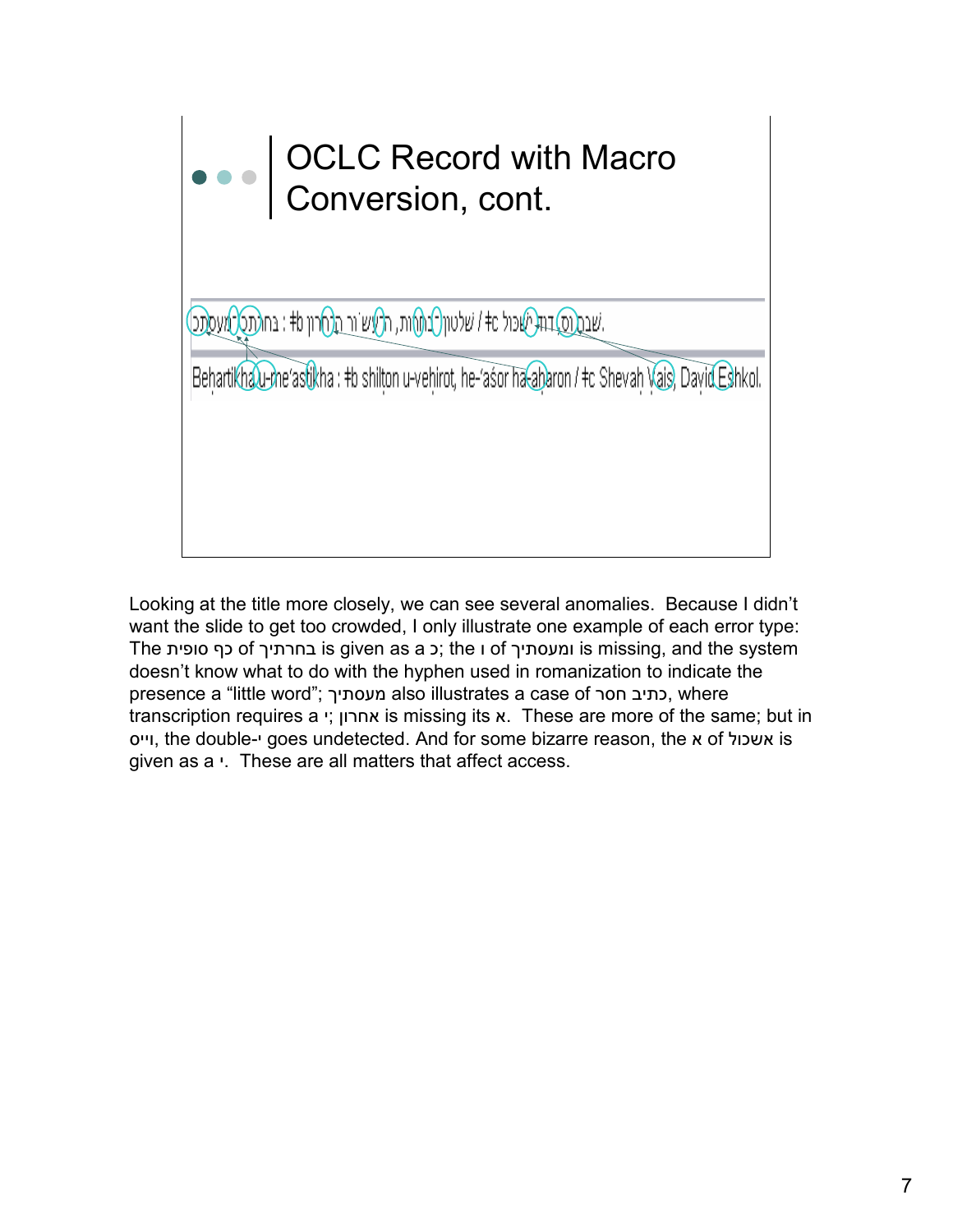### OCLC Record with Macro Conversion, cont.

שבת (סדות שכול at / שלטון לבו (אות, הלעש ור הלארון tb : בחולת למעסת

Behartikha u-me'astikha : #b shilton u-vehirot, he-'asor ha-abaron / #c Shevah Vais, David Eshkol.

Looking at the title more closely, we can see several anomalies. Because I didn't want the slide to get too crowded, I only illustrate one example of each error type: The נחרתיך of בחרתיך is given as a כך סופית is missing, and the system doesn't know what to do with the hyphen used in romanization to indicate the presence a "little word"; מעסתיך, also illustrates a case of סתיב חסר, where transcription requires a י ;ן אחרו is missing its א. These are more of the same; but in יס י ו, the double- י goes undetected. And for some bizarre reason, the א of ול אשכ is given as a  $\cdot$ . These are all matters that affect access.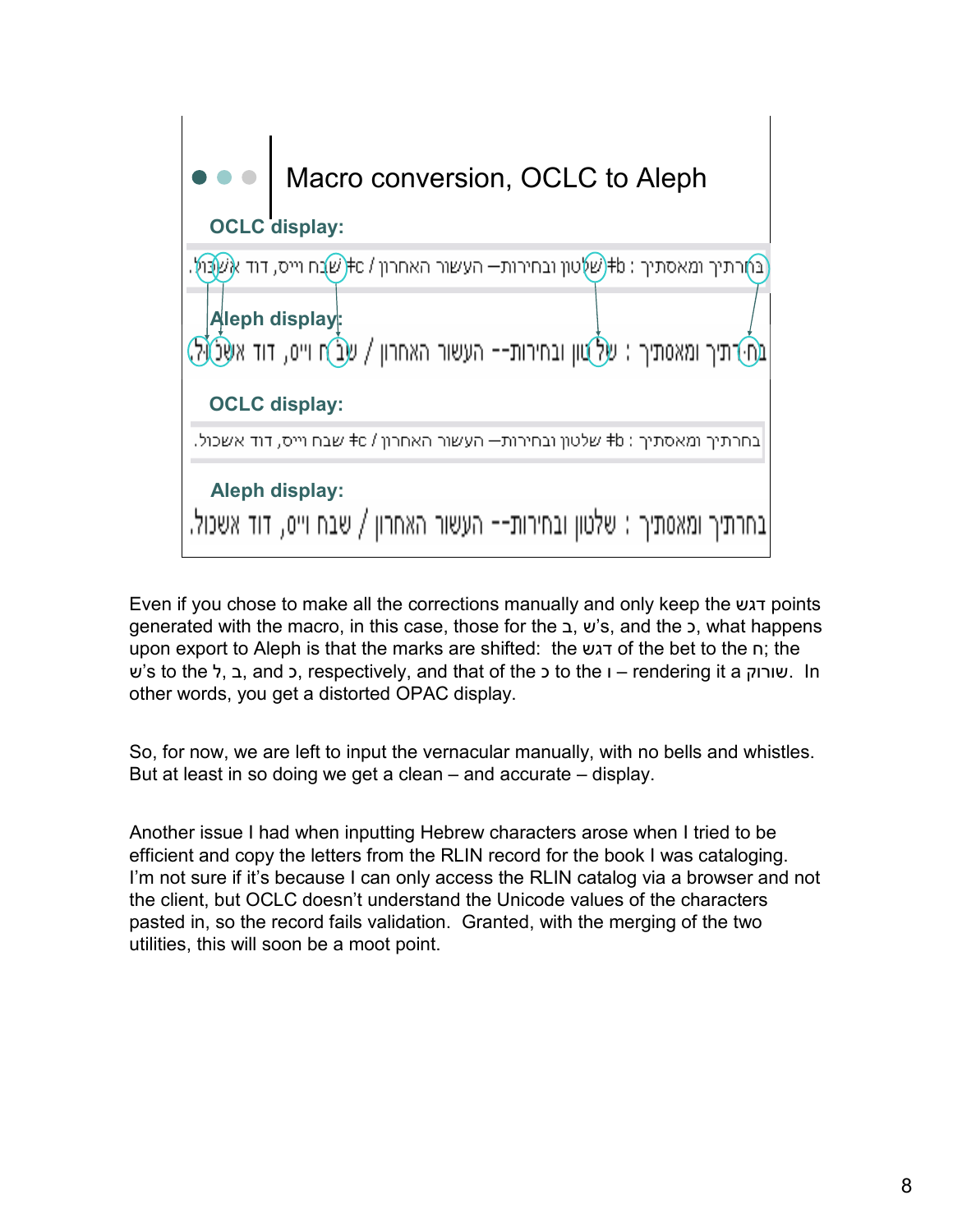

Even if you chose to make all the corrections manually and only keep the דגש points generated with the macro, in this case, those for the ב, ש's, and the כ, what happens upon export to Aleph is that the marks are shifted: the דגש of the bet to the ח ;the ש's to the ל, ב, and כ, respectively, and that of the כ to the ו – rendering it a וק ור ש. In other words, you get a distorted OPAC display.

So, for now, we are left to input the vernacular manually, with no bells and whistles. But at least in so doing we get a clean – and accurate – display.

Another issue I had when inputting Hebrew characters arose when I tried to be efficient and copy the letters from the RLIN record for the book I was cataloging. I'm not sure if it's because I can only access the RLIN catalog via a browser and not the client, but OCLC doesn't understand the Unicode values of the characters pasted in, so the record fails validation. Granted, with the merging of the two utilities, this will soon be a moot point.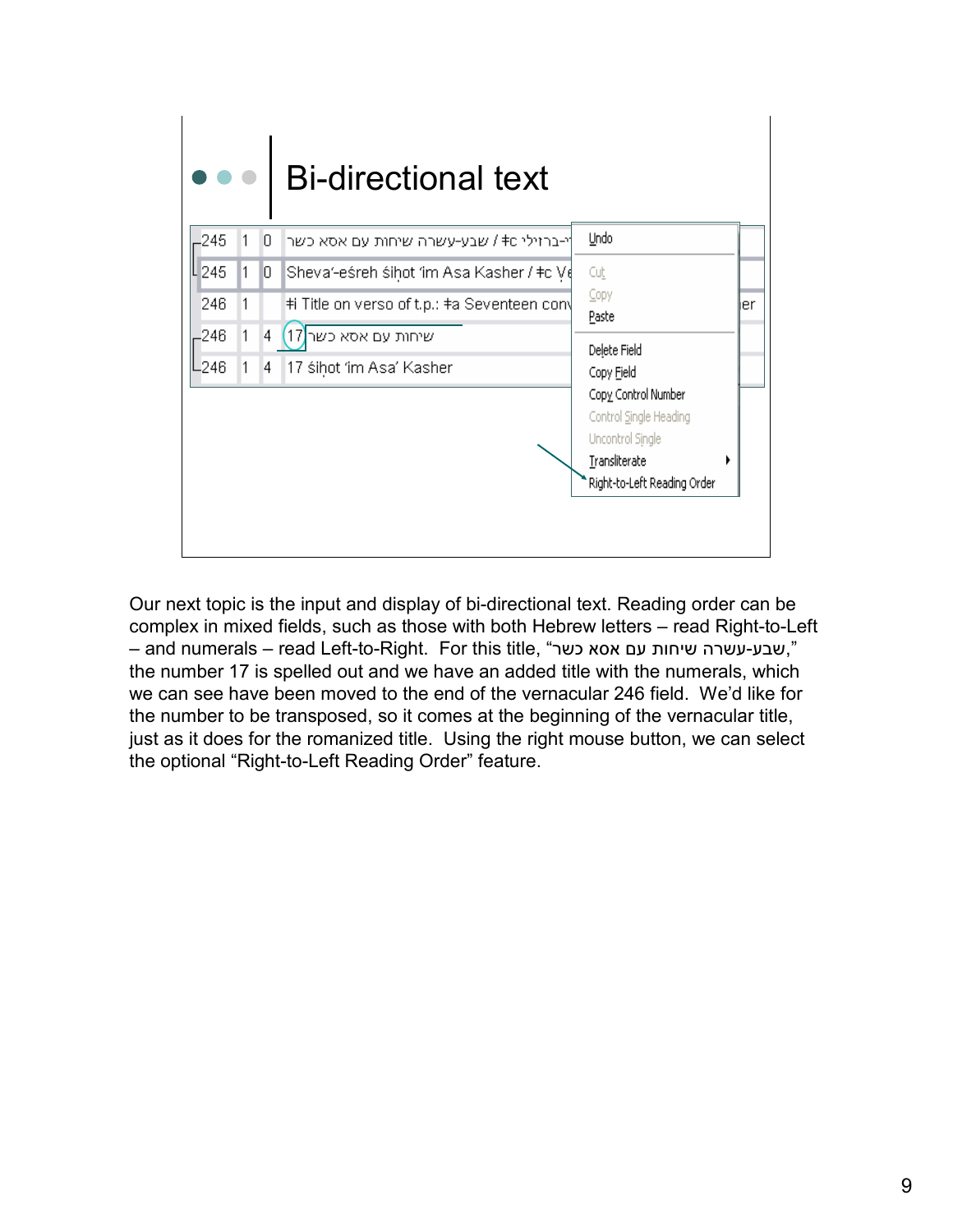

Our next topic is the input and display of bi-directional text. Reading order can be complex in mixed fields, such as those with both Hebrew letters – read Right-to-Left – and numerals – read Left-to-Right. For this title, "שבע-עשרה שיחות עם אסא כשר". the number 17 is spelled out and we have an added title with the numerals, which we can see have been moved to the end of the vernacular 246 field. We'd like for the number to be transposed, so it comes at the beginning of the vernacular title, just as it does for the romanized title. Using the right mouse button, we can select the optional "Right-to-Left Reading Order" feature.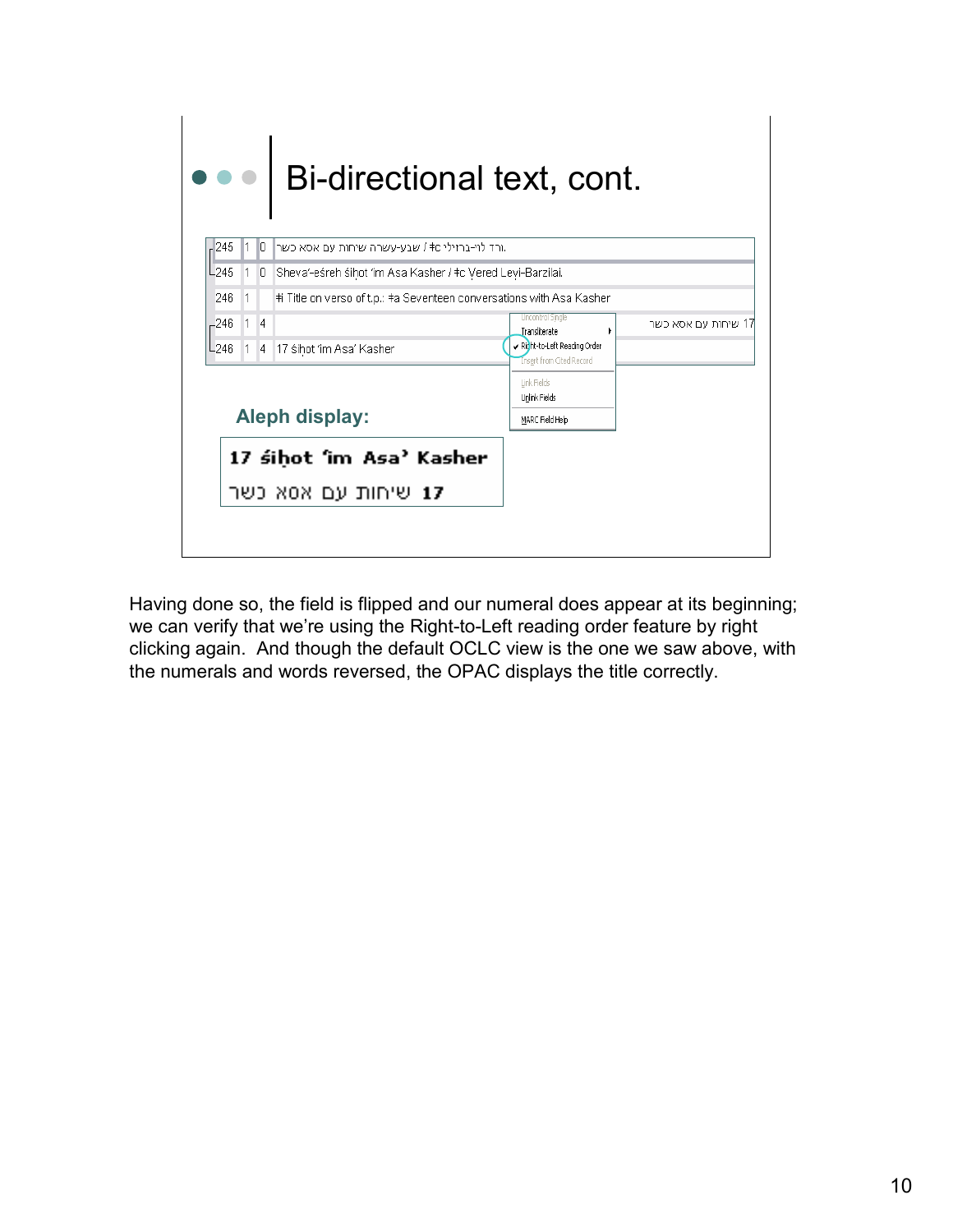|        |                | Bi-directional text, cont.                                            |                                                         |                     |
|--------|----------------|-----------------------------------------------------------------------|---------------------------------------------------------|---------------------|
| 245    | 10.            | ורד לוי-ברזילי ס≢ / שבע-עשרה שיחות עם אסא כשר.                        |                                                         |                     |
| L245   | $\overline{0}$ | Sheva'-eśreh śihot 'im Asa Kasher / ‡c Vered Levi-Barzilai.           |                                                         |                     |
| 246    |                | #i Title on verso of t.p.: #a Seventeen conversations with Asa Kasher |                                                         |                     |
| -246   | $\overline{4}$ |                                                                       | Uncontrol Single<br>Transliterate<br>٠                  | 17 שיחות עם אסא כשר |
| $-246$ | $\overline{4}$ | 17 śihot 'im Asa' Kasher                                              | Richt-to-Left Reading Order<br>Insert from Cited Record |                     |
|        |                | Aleph display:                                                        | Link Fields<br>Unlink Fields<br>MARC Field Help         |                     |
|        |                | 17 sihot 'im Asa' Kasher<br><b>17</b> שיחות עם אסא כשר                |                                                         |                     |
|        |                |                                                                       |                                                         |                     |

Having done so, the field is flipped and our numeral does appear at its beginning; we can verify that we're using the Right-to-Left reading order feature by right clicking again. And though the default OCLC view is the one we saw above, with the numerals and words reversed, the OPAC displays the title correctly.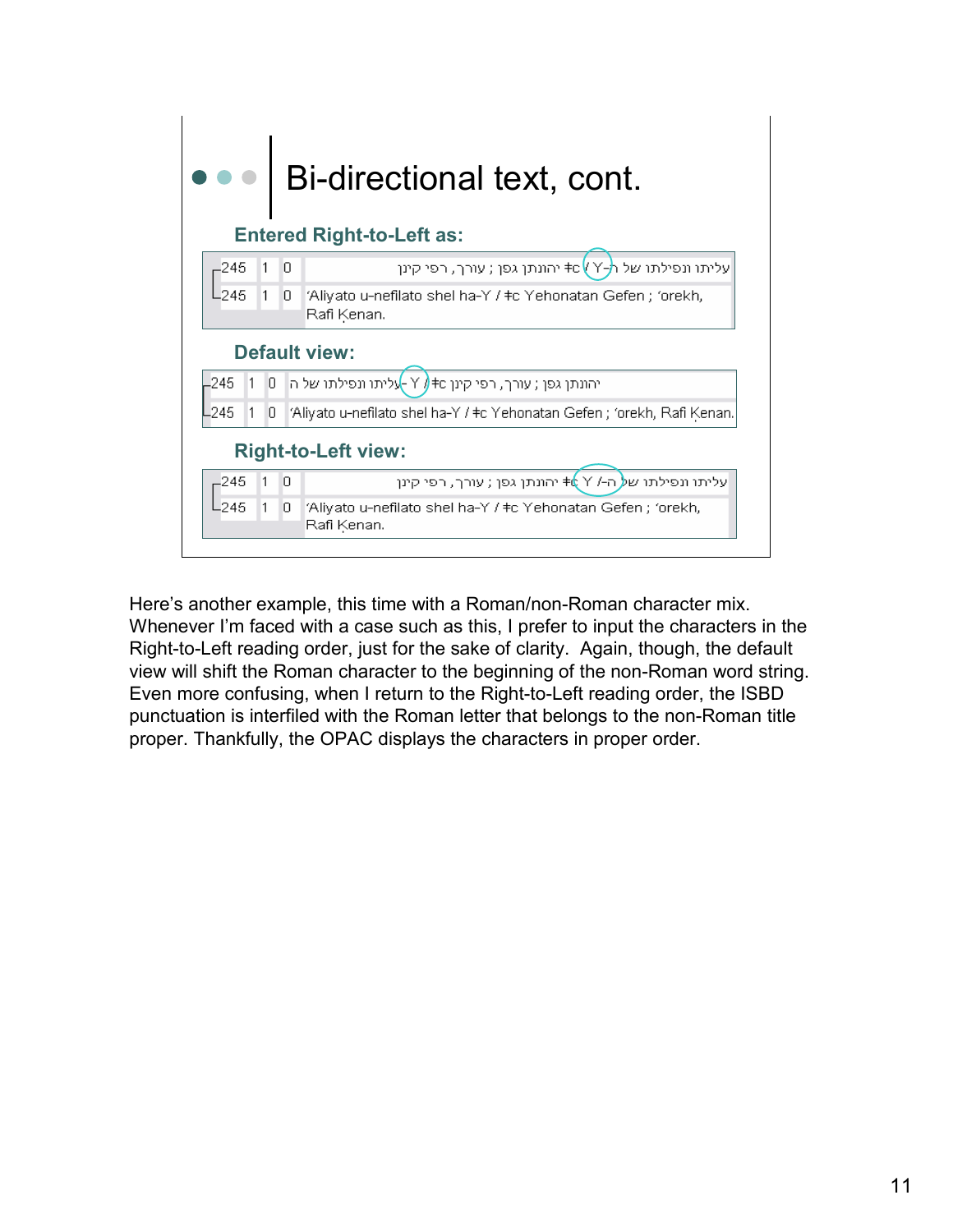

Here's another example, this time with a Roman/non-Roman character mix. Whenever I'm faced with a case such as this, I prefer to input the characters in the Right-to-Left reading order, just for the sake of clarity. Again, though, the default view will shift the Roman character to the beginning of the non-Roman word string. Even more confusing, when I return to the Right-to-Left reading order, the ISBD punctuation is interfiled with the Roman letter that belongs to the non-Roman title proper. Thankfully, the OPAC displays the characters in proper order.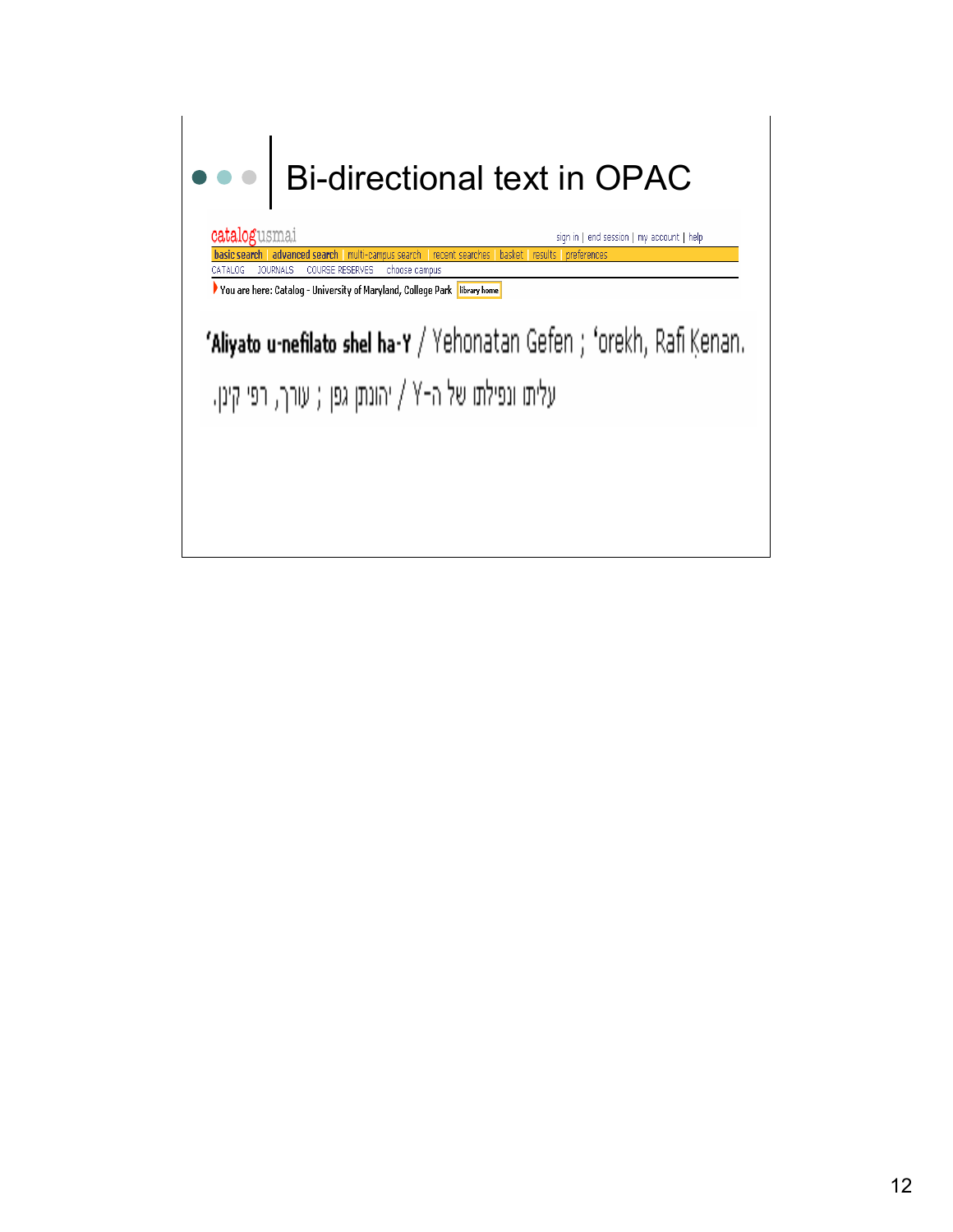# Bi-directional text in OPACcatalogusmai sign in | end session | my account | help basic search | advanced search | multi-campus search | recent searches | basket | results | preferences CATALOG JOURNALS COURSE RESERVES choose campus  $\blacktriangleright$  You are here: Catalog - University of Maryland, College Park  $\boxed{\,$  library home  $\,$ 'Aliyato u-nefilato shel ha-Y / Yehonatan Gefen ; 'orekh, Rafi Kenan. עליתו ונפילתו של ה-Y / יהונתן גפן ; עורך, רפי קינן.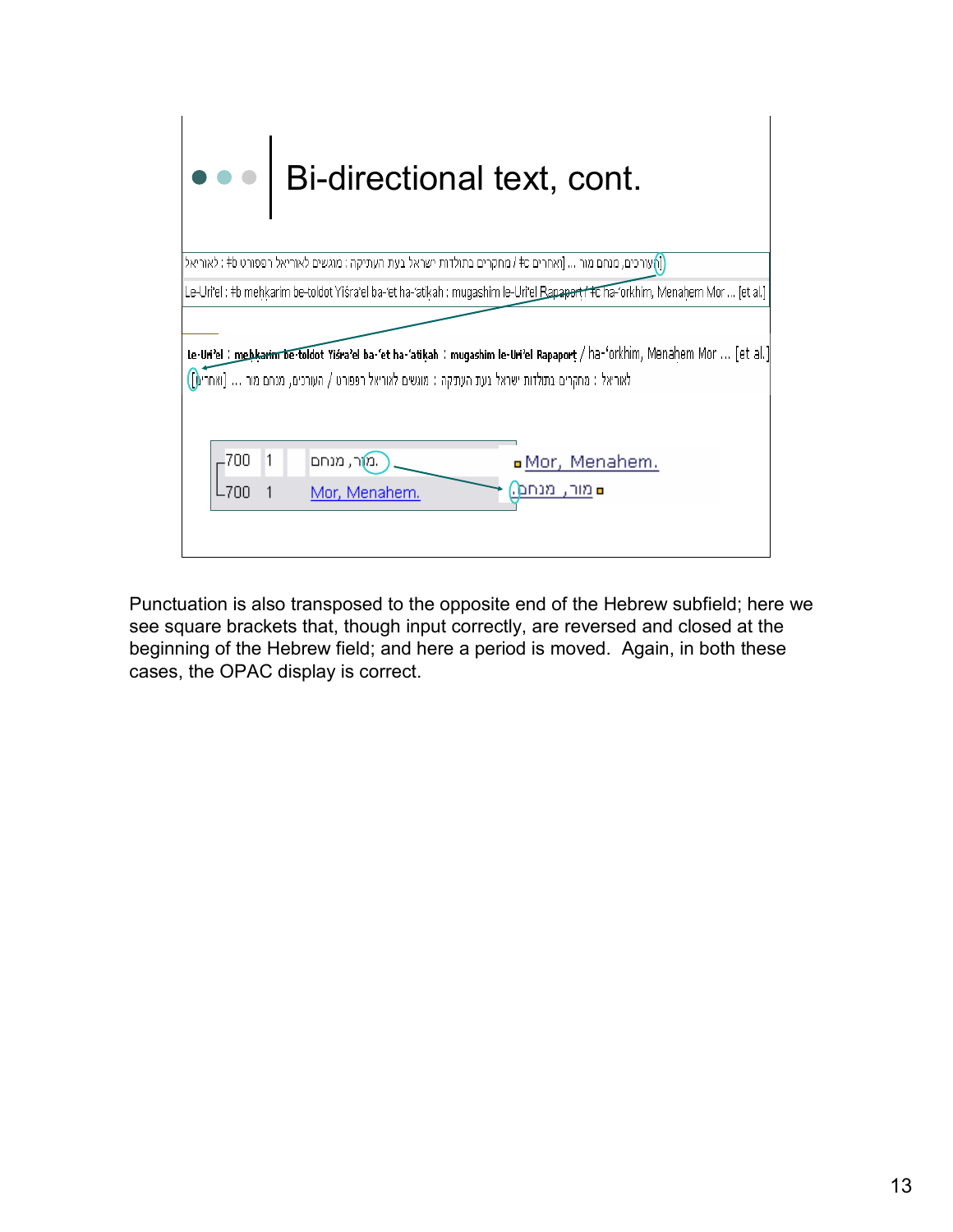

Punctuation is also transposed to the opposite end of the Hebrew subfield; here we see square brackets that, though input correctly, are reversed and closed at the beginning of the Hebrew field; and here a period is moved. Again, in both these cases, the OPAC display is correct.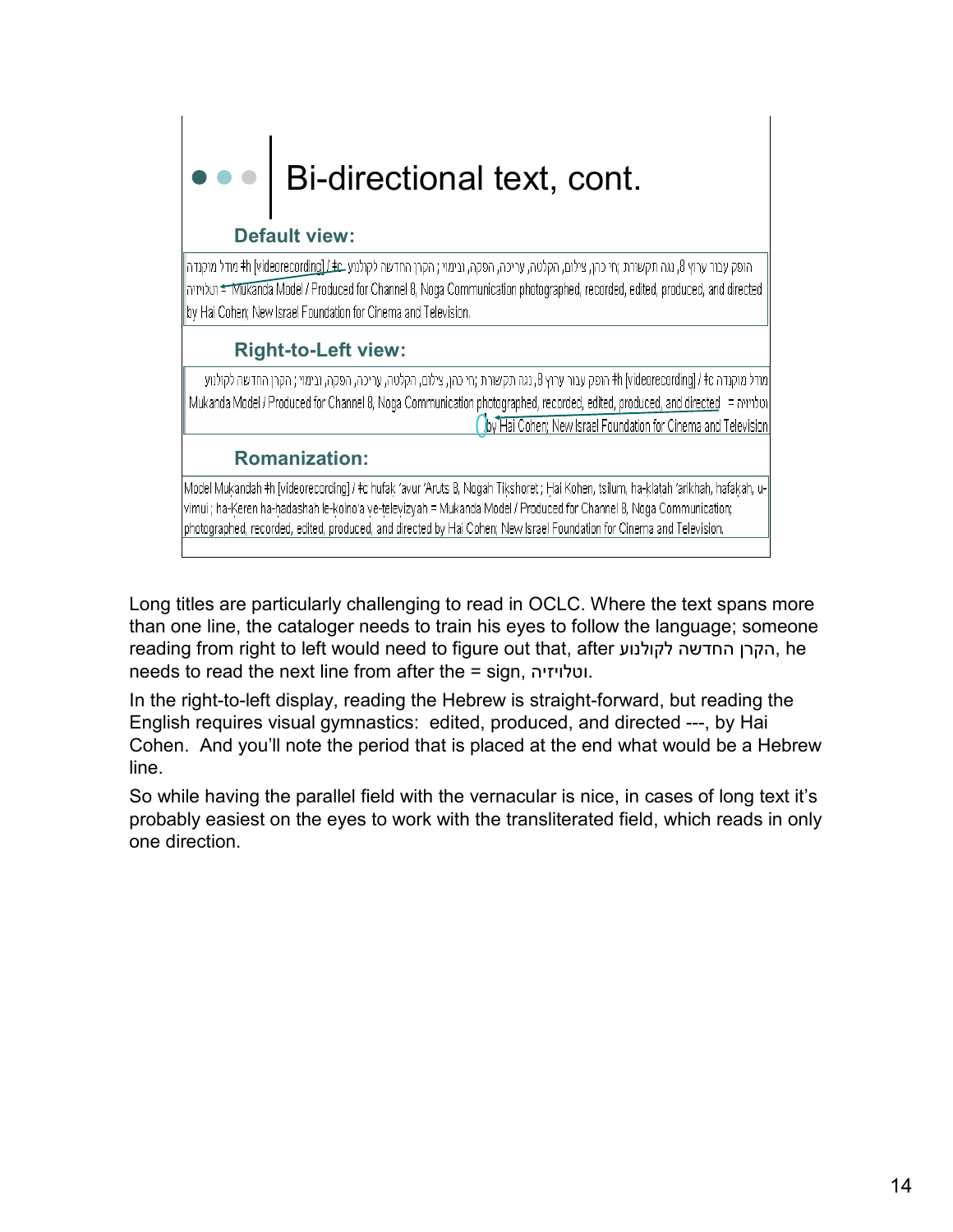# Bi-directional text, cont.

### Default view:

- הופק עבור ערוץ 8, נגה תקשורת ;חי כהן, צילום, הקלטה, עריכה, הפקה, ובימוי ; הקרן החדשה לקולנוע בh [videorecording] # מודל מוקנדה mhbu < Mukanda Model / Produced for Channel 8, Noga Communication photographed, recorded, edited, produced, and directed by Hai Cohen; New Israel Foundation for Cinema and Television.

### Right-to-Left view:

|מודל מוקנדה ht [videorecording] / +c הופק עבור ערוץ 8, נגה תקשורת ;חי כהן, צילום, הקלטה, עריכה, הפקה, ובימוי ; הקרן החדשה לקולנוע Mukanda Model / Produced for Channel 8, Noga Communication photographed, recorded, edited, produced, and directed = הולויזיה Joy Hai Cohen; New Israel Foundation for Cinema and Television

### Romanization:

Model Mukandah ‡h [videorecording] / ‡c hufak 'avur 'Aruts 8, Nogah Tikshoret ; Hai Kohen, tsilum, ha-klatah 'arikhah, hafakah, uvimui ; ha-Keren ha-hadashah le-kolno'a ve-televizyah = Mukanda Model / Produced for Channel 8, Noga Communication; photographed, recorded, edited, produced, and directed by Hai Cohen; New Israel Foundation for Cinema and Television.

Long titles are particularly challenging to read in OCLC. Where the text spans more than one line, the cataloger needs to train his eyes to follow the language; someone reading from right to left would need to figure out that, after הקרן החדשה לקולנוע, he needs to read the next line from after the = sign, ה י יז ו טל ו.

In the right-to-left display, reading the Hebrew is straight-forward, but reading the English requires visual gymnastics: edited, produced, and directed ---, by Hai Cohen. And you'll note the period that is placed at the end what would be a Hebrew line.

So while having the parallel field with the vernacular is nice, in cases of long text it's probably easiest on the eyes to work with the transliterated field, which reads in only one direction.